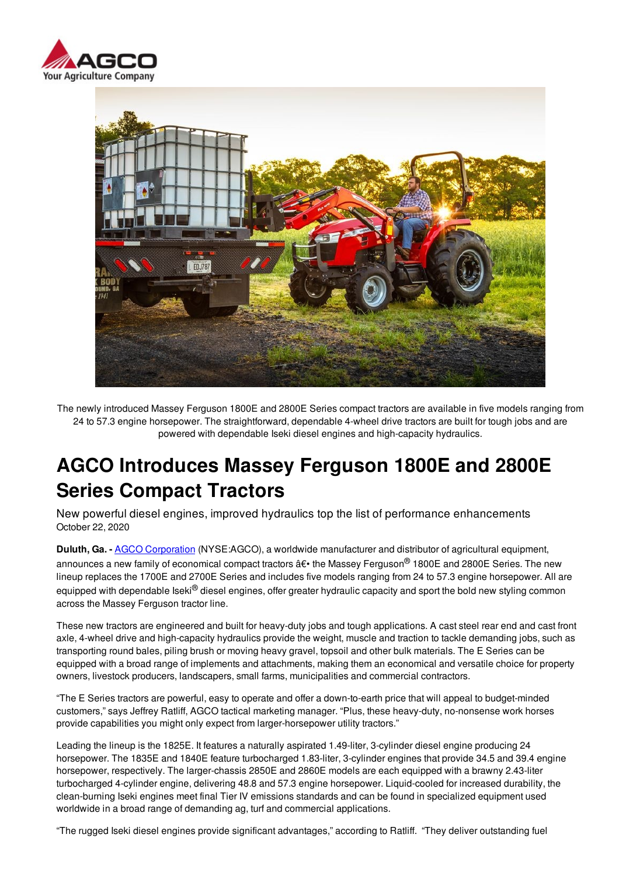



The newly introduced Massey Ferguson 1800E and 2800E Series compact tractors are available in five models ranging from 24 to 57.3 engine horsepower. The straightforward, dependable 4-wheel drive tractors are built for tough jobs and are powered with dependable Iseki diesel engines and high-capacity hydraulics.

# **AGCO Introduces Massey Ferguson 1800E and 2800E Series Compact Tractors**

New powerful diesel engines, improved hydraulics top the list of performance enhancements October 22, 2020

**Duluth, Ga. -** AGCO Corporation (NYSE:AGCO), a worldwide manufacturer and distributor of agricultural equipment, announces a new family of economical compact tractors  $\hat{a}\epsilon \cdot$  the Massey Ferguson<sup>®</sup> 1800E and 2800E Series. The new lineup replaces the 1700E and 2700E Series and includes five models ranging from 24 to 57.3 engine horsepower. All are equipped with dependable Iseki<sup>®</sup> diesel engines, offer greater hydraulic capacity and sport the bold new styling common across the Massey Ferguson tractor line.

These new tractors are engineered and built for heavy-duty jobs and tough applications. A cast steel rear end and cast front axle, 4-wheel drive and high-capacity hydraulics provide the weight, muscle and traction to tackle demanding jobs, such as transporting round bales, piling brush or moving heavy gravel, topsoil and other bulk materials. The E Series can be equipped with a broad range of implements and attachments, making them an economical and versatile choice for property owners, livestock producers, landscapers, small farms, municipalities and commercial contractors.

"The E Series tractors are powerful, easy to operate and offer a down-to-earth price that will appeal to budget-minded customers," says Jeffrey Ratliff, AGCO tactical marketing manager. "Plus, these heavy-duty, no-nonsense work horses provide capabilities you might only expect from larger-horsepower utility tractors."

Leading the lineup is the 1825E. It features a naturally aspirated 1.49-liter, 3-cylinder diesel engine producing 24 horsepower. The 1835E and 1840E feature turbocharged 1.83-liter, 3-cylinder engines that provide 34.5 and 39.4 engine horsepower, respectively. The larger-chassis 2850E and 2860E models are each equipped with a brawny 2.43-liter turbocharged 4-cylinder engine, delivering 48.8 and 57.3 engine horsepower. Liquid-cooled for increased durability, the clean-burning Iseki engines meet final Tier IV emissions standards and can be found in specialized equipment used worldwide in a broad range of demanding ag, turf and commercial applications.

"The rugged Iseki diesel engines provide significant advantages," according to Ratliff. "They deliver outstanding fuel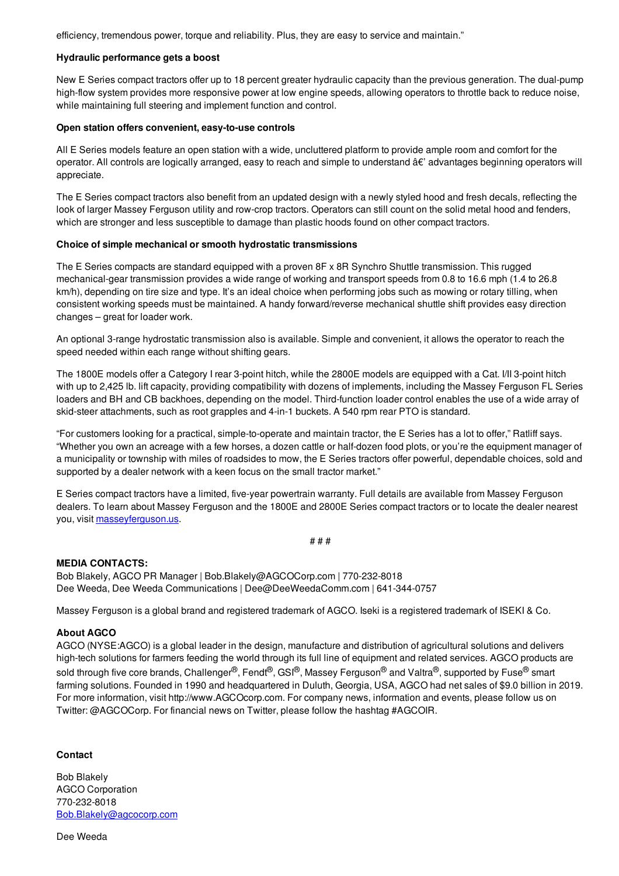efficiency, tremendous power, torque and reliability. Plus, they are easy to service and maintain."

#### **Hydraulic performance gets a boost**

New E Series compact tractors offer up to 18 percent greater hydraulic capacity than the previous generation. The dual-pump high-flow system provides more responsive power at low engine speeds, allowing operators to throttle back to reduce noise, while maintaining full steering and implement function and control.

### **Open station offers convenient, easy-to-use controls**

All E Series models feature an open station with a wide, uncluttered platform to provide ample room and comfort for the operator. All controls are logically arranged, easy to reach and simple to understand  $\hat{a}\epsilon'$  advantages beginning operators will appreciate.

The E Series compact tractors also benefit from an updated design with a newly styled hood and fresh decals, reflecting the look of larger Massey Ferguson utility and row-crop tractors. Operators can still count on the solid metal hood and fenders, which are stronger and less susceptible to damage than plastic hoods found on other compact tractors.

## **Choice of simple mechanical or smooth hydrostatic transmissions**

The E Series compacts are standard equipped with a proven 8F x 8R Synchro Shuttle transmission. This rugged mechanical-gear transmission provides a wide range of working and transport speeds from 0.8 to 16.6 mph (1.4 to 26.8 km/h), depending on tire size and type. It's an ideal choice when performing jobs such as mowing or rotary tilling, when consistent working speeds must be maintained. A handy forward/reverse mechanical shuttle shift provides easy direction changes – great for loader work.

An optional 3-range hydrostatic transmission also is available. Simple and convenient, it allows the operator to reach the speed needed within each range without shifting gears.

The 1800E models offer a Category I rear 3-point hitch, while the 2800E models are equipped with a Cat. I/II 3-point hitch with up to 2,425 lb. lift capacity, providing compatibility with dozens of implements, including the Massey Ferguson FL Series loaders and BH and CB backhoes, depending on the model. Third-function loader control enables the use of a wide array of skid-steer attachments, such as root grapples and 4-in-1 buckets. A 540 rpm rear PTO is standard.

"For customers looking for a practical, simple-to-operate and maintain tractor, the E Series has a lot to offer," Ratliff says. "Whether you own an acreage with a few horses, a dozen cattle or half-dozen food plots, or you're the equipment manager of a municipality or township with miles of roadsides to mow, the E Series tractors offer powerful, dependable choices, sold and supported by a dealer network with a keen focus on the small tractor market."

E Series compact tractors have a limited, five-year powertrain warranty. Full details are available from Massey Ferguson dealers. To learn about Massey Ferguson and the 1800E and 2800E Series compact tractors or to locate the dealer nearest you, visit masseyferguson.us.

# # #

# **MEDIA CONTACTS:**

Bob Blakely, AGCO PR Manager | Bob.Blakely@AGCOCorp.com | 770-232-8018 Dee Weeda, Dee Weeda Communications | Dee@DeeWeedaComm.com | 641-344-0757

Massey Ferguson is a global brand and registered trademark of AGCO. Iseki is a registered trademark of ISEKI & Co.

# **About AGCO**

AGCO (NYSE:AGCO) is a global leader in the design, manufacture and distribution of agricultural solutions and delivers high-tech solutions for farmers feeding the world through its full line of equipment and related services. AGCO products are sold through five core brands, Challenger®, Fendt®, GSI®, Massey Ferguson® and Valtra®, supported by Fuse® smart farming solutions. Founded in 1990 and headquartered in Duluth, Georgia, USA, AGCO had net sales of \$9.0 billion in 2019. For more information, visit http://www.AGCOcorp.com. For company news, information and events, please follow us on Twitter: @AGCOCorp. For financial news on Twitter, please follow the hashtag #AGCOIR.

# **Contact**

Bob Blakely AGCO Corporation 770-232-8018 Bob.Blakely@agcocorp.com

Dee Weeda